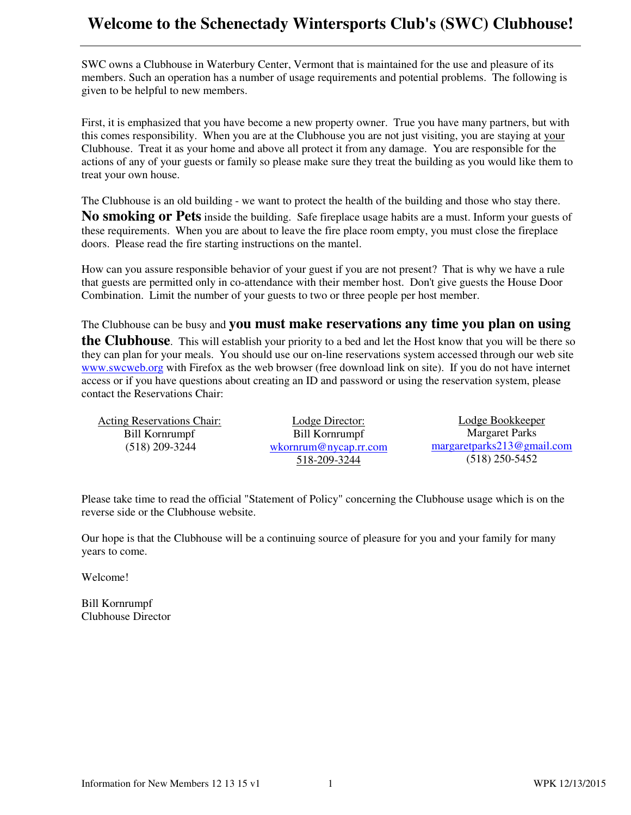## **Welcome to the Schenectady Wintersports Club's (SWC) Clubhouse!**

SWC owns a Clubhouse in Waterbury Center, Vermont that is maintained for the use and pleasure of its members. Such an operation has a number of usage requirements and potential problems. The following is given to be helpful to new members.

First, it is emphasized that you have become a new property owner. True you have many partners, but with this comes responsibility. When you are at the Clubhouse you are not just visiting, you are staying at your Clubhouse. Treat it as your home and above all protect it from any damage. You are responsible for the actions of any of your guests or family so please make sure they treat the building as you would like them to treat your own house.

The Clubhouse is an old building - we want to protect the health of the building and those who stay there.

**No smoking or Pets** inside the building. Safe fireplace usage habits are a must. Inform your guests of these requirements. When you are about to leave the fire place room empty, you must close the fireplace doors. Please read the fire starting instructions on the mantel.

How can you assure responsible behavior of your guest if you are not present? That is why we have a rule that guests are permitted only in co-attendance with their member host. Don't give guests the House Door Combination. Limit the number of your guests to two or three people per host member.

The Clubhouse can be busy and **you must make reservations any time you plan on using** 

**the Clubhouse**. This will establish your priority to a bed and let the Host know that you will be there so they can plan for your meals. You should use our on-line reservations system accessed through our web site www.swcweb.org with Firefox as the web browser (free download link on site). If you do not have internet access or if you have questions about creating an ID and password or using the reservation system, please contact the Reservations Chair:

| <b>Acting Reservations Chair:</b> | <b>Lodge Director:</b> | Lodge Bookkeeper           |
|-----------------------------------|------------------------|----------------------------|
| Bill Kornrumpf                    | Bill Kornrumpf         | Margaret Parks             |
| $(518)$ 209-3244                  | wkorrnum@nycap.rr.com  | margaretparks213@gmail.com |
|                                   | 518-209-3244           | $(518)$ 250-5452           |

Please take time to read the official "Statement of Policy" concerning the Clubhouse usage which is on the reverse side or the Clubhouse website.

Our hope is that the Clubhouse will be a continuing source of pleasure for you and your family for many years to come.

Welcome!

Bill Kornrumpf Clubhouse Director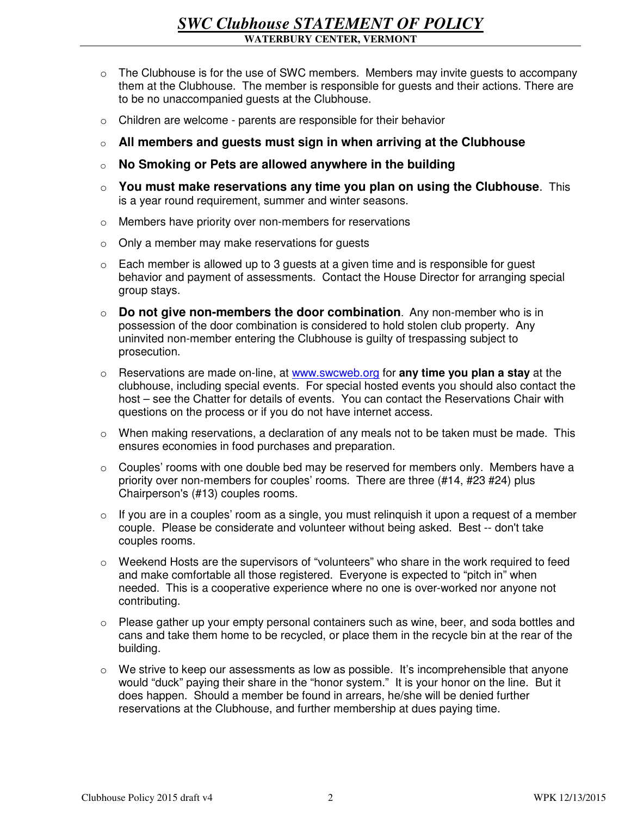- $\circ$  The Clubhouse is for the use of SWC members. Members may invite guests to accompany them at the Clubhouse. The member is responsible for guests and their actions. There are to be no unaccompanied guests at the Clubhouse.
- o Children are welcome parents are responsible for their behavior
- o **All members and guests must sign in when arriving at the Clubhouse**
- o **No Smoking or Pets are allowed anywhere in the building**
- o **You must make reservations any time you plan on using the Clubhouse**. This is a year round requirement, summer and winter seasons.
- o Members have priority over non-members for reservations
- o Only a member may make reservations for guests
- $\circ$  Each member is allowed up to 3 guests at a given time and is responsible for guest behavior and payment of assessments. Contact the House Director for arranging special group stays.
- o **Do not give non-members the door combination**. Any non-member who is in possession of the door combination is considered to hold stolen club property. Any uninvited non-member entering the Clubhouse is guilty of trespassing subject to prosecution.
- o Reservations are made on-line, at www.swcweb.org for **any time you plan a stay** at the clubhouse, including special events. For special hosted events you should also contact the host – see the Chatter for details of events. You can contact the Reservations Chair with questions on the process or if you do not have internet access.
- $\circ$  When making reservations, a declaration of any meals not to be taken must be made. This ensures economies in food purchases and preparation.
- o Couples' rooms with one double bed may be reserved for members only. Members have a priority over non-members for couples' rooms. There are three (#14, #23 #24) plus Chairperson's (#13) couples rooms.
- $\circ$  If you are in a couples' room as a single, you must relinquish it upon a request of a member couple. Please be considerate and volunteer without being asked. Best -- don't take couples rooms.
- $\circ$  Weekend Hosts are the supervisors of "volunteers" who share in the work required to feed and make comfortable all those registered. Everyone is expected to "pitch in" when needed. This is a cooperative experience where no one is over-worked nor anyone not contributing.
- o Please gather up your empty personal containers such as wine, beer, and soda bottles and cans and take them home to be recycled, or place them in the recycle bin at the rear of the building.
- o We strive to keep our assessments as low as possible. It's incomprehensible that anyone would "duck" paying their share in the "honor system." It is your honor on the line. But it does happen. Should a member be found in arrears, he/she will be denied further reservations at the Clubhouse, and further membership at dues paying time.